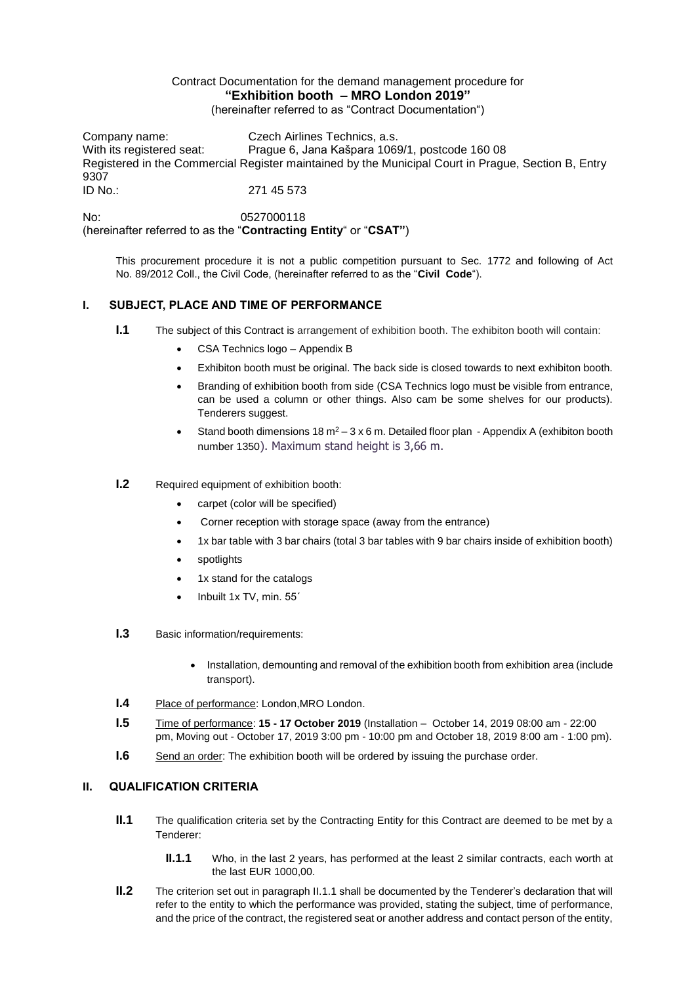## Contract Documentation for the demand management procedure for **"Exhibition booth – MRO London 2019"** (hereinafter referred to as "Contract Documentation")

Company name: Czech Airlines Technics, a.s. With its registered seat: Prague 6, Jana Kašpara 1069/1, postcode 160 08 Registered in the Commercial Register maintained by the Municipal Court in Prague, Section B, Entry 9307 ID No.: 271 45 573

No: 0527000118 (hereinafter referred to as the "**Contracting Entity**" or "**CSAT"**)

This procurement procedure it is not a public competition pursuant to Sec. 1772 and following of Act No. 89/2012 Coll., the Civil Code, (hereinafter referred to as the "**Civil Code**").

# **I. SUBJECT, PLACE AND TIME OF PERFORMANCE**

- **I.1** The subject of this Contract is arrangement of exhibition booth. The exhibiton booth will contain:
	- CSA Technics logo Appendix B
	- Exhibiton booth must be original. The back side is closed towards to next exhibiton booth.
	- Branding of exhibition booth from side (CSA Technics logo must be visible from entrance, can be used a column or other things. Also cam be some shelves for our products). Tenderers suggest.
	- Stand booth dimensions 18  $m^2 3 \times 6$  m. Detailed floor plan Appendix A (exhibiton booth number 1350). Maximum stand height is 3,66 m.
- **I.2** Required equipment of exhibition booth:
	- carpet (color will be specified)
	- Corner reception with storage space (away from the entrance)
	- 1x bar table with 3 bar chairs (total 3 bar tables with 9 bar chairs inside of exhibition booth)
	- spotlights
	- 1x stand for the catalogs
	- Inbuilt 1x TV, min. 55´
- **I.3** Basic information/requirements:
	- Installation, demounting and removal of the exhibition booth from exhibition area (include transport).
- **I.4** Place of performance: London,MRO London.
- **I.5** Time of performance: **15 - 17 October 2019** (Installation October 14, 2019 08:00 am 22:00 pm, Moving out - October 17, 2019 3:00 pm - 10:00 pm and October 18, 2019 8:00 am - 1:00 pm).
- **I.6** Send an order: The exhibition booth will be ordered by issuing the purchase order.

# **II. QUALIFICATION CRITERIA**

- **II.1** The qualification criteria set by the Contracting Entity for this Contract are deemed to be met by a Tenderer:
	- **II.1.1** Who, in the last 2 years, has performed at the least 2 similar contracts, each worth at the last EUR 1000,00.
- **II.2** The criterion set out in paragraph II.1.1 shall be documented by the Tenderer's declaration that will refer to the entity to which the performance was provided, stating the subject, time of performance, and the price of the contract, the registered seat or another address and contact person of the entity,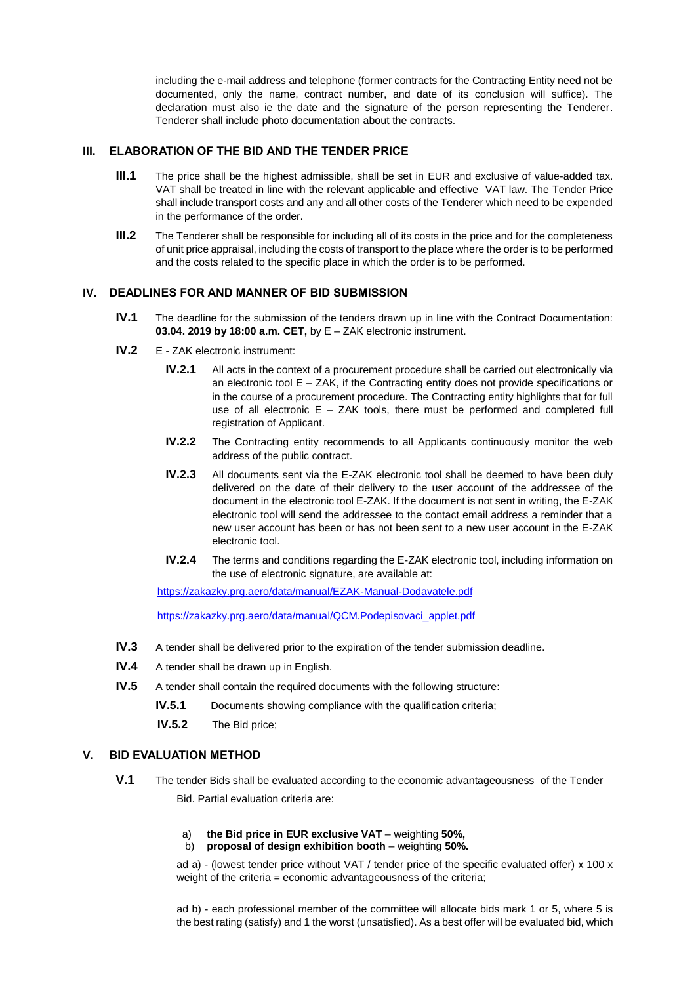including the e-mail address and telephone (former contracts for the Contracting Entity need not be documented, only the name, contract number, and date of its conclusion will suffice). The declaration must also ie the date and the signature of the person representing the Tenderer. Tenderer shall include photo documentation about the contracts.

#### **III. ELABORATION OF THE BID AND THE TENDER PRICE**

- **III.1** The price shall be the highest admissible, shall be set in EUR and exclusive of value-added tax. VAT shall be treated in line with the relevant applicable and effective VAT law. The Tender Price shall include transport costs and any and all other costs of the Tenderer which need to be expended in the performance of the order.
- **III.2** The Tenderer shall be responsible for including all of its costs in the price and for the completeness of unit price appraisal, including the costs of transport to the place where the order is to be performed and the costs related to the specific place in which the order is to be performed.

## **IV. DEADLINES FOR AND MANNER OF BID SUBMISSION**

- **IV.1** The deadline for the submission of the tenders drawn up in line with the Contract Documentation: **03.04. 2019 by 18:00 a.m. CET,** by E – ZAK electronic instrument.
- **IV.2** E ZAK electronic instrument:
	- **IV.2.1** All acts in the context of a procurement procedure shall be carried out electronically via an electronic tool  $E - ZAK$ , if the Contracting entity does not provide specifications or in the course of a procurement procedure. The Contracting entity highlights that for full use of all electronic  $E - ZAK$  tools, there must be performed and completed full registration of Applicant.
	- **IV.2.2** The Contracting entity recommends to all Applicants continuously monitor the web address of the public contract.
	- **IV.2.3** All documents sent via the E-ZAK electronic tool shall be deemed to have been duly delivered on the date of their delivery to the user account of the addressee of the document in the electronic tool E-ZAK. If the document is not sent in writing, the E-ZAK electronic tool will send the addressee to the contact email address a reminder that a new user account has been or has not been sent to a new user account in the E-ZAK electronic tool.
	- **IV.2.4** The terms and conditions regarding the E-ZAK electronic tool, including information on the use of electronic signature, are available at:

<https://zakazky.prg.aero/data/manual/EZAK-Manual-Dodavatele.pdf>

[https://zakazky.prg.aero/data/manual/QCM.Podepisovaci\\_applet.pdf](https://zakazky.prg.aero/data/manual/QCM.Podepisovaci_applet.pdf)

- **IV.3** A tender shall be delivered prior to the expiration of the tender submission deadline.
- **IV.4** A tender shall be drawn up in English.
- **IV.5** A tender shall contain the required documents with the following structure:
	- **IV.5.1** Documents showing compliance with the qualification criteria;
	- **IV.5.2** The Bid price;

### **V. BID EVALUATION METHOD**

- **V.1** The tender Bids shall be evaluated according to the economic advantageousness of the Tender Bid. Partial evaluation criteria are:
	- a) **the Bid price in EUR exclusive VAT** weighting **50%,**
	- b) **proposal of design exhibition booth** weighting **50%.**

ad a) - (lowest tender price without VAT / tender price of the specific evaluated offer) x 100 x weight of the criteria = economic advantageousness of the criteria;

ad b) - each professional member of the committee will allocate bids mark 1 or 5, where 5 is the best rating (satisfy) and 1 the worst (unsatisfied). As a best offer will be evaluated bid, which